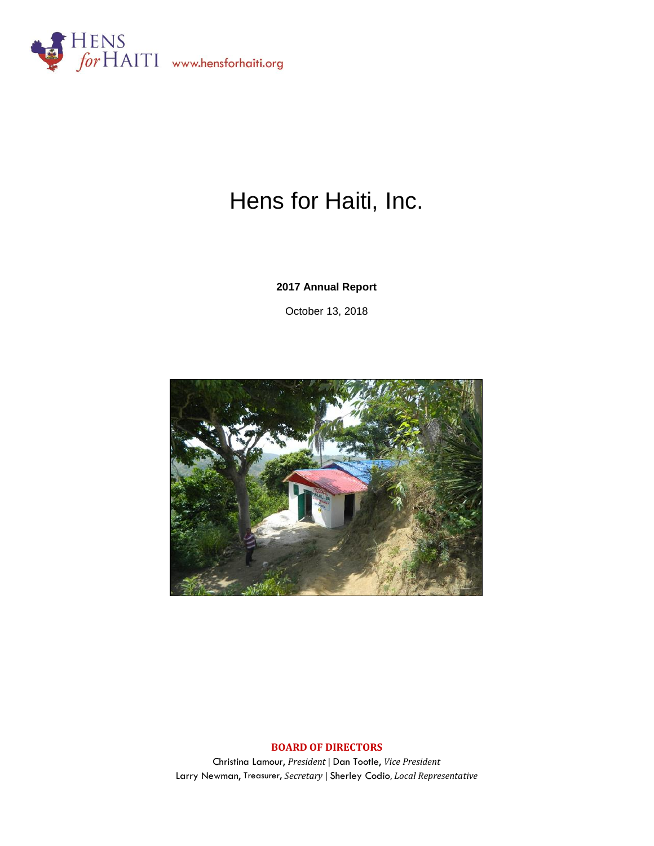

# Hens for Haiti, Inc.

**2017 Annual Report**

October 13, 2018



#### **BOARD OF DIRECTORS**

Christina Lamour, *President* | Dan Tootle, *Vice President*  Larry Newman, Treasurer, *Secretary* | Sherley Codio, *Local Representative*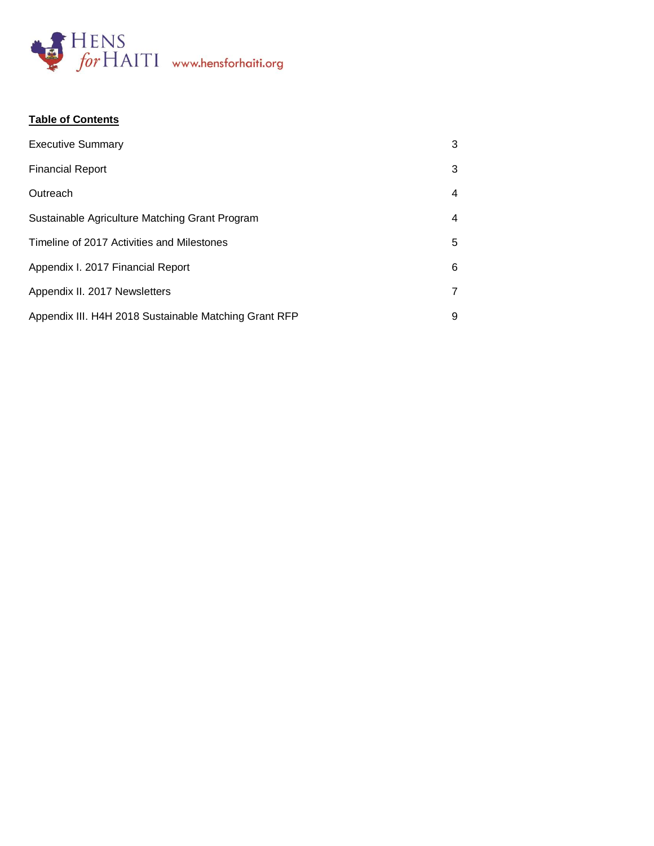

# **Table of Contents**

| <b>Executive Summary</b>                              | 3 |
|-------------------------------------------------------|---|
| <b>Financial Report</b>                               | 3 |
| Outreach                                              | 4 |
| Sustainable Agriculture Matching Grant Program        | 4 |
| Timeline of 2017 Activities and Milestones            | 5 |
| Appendix I. 2017 Financial Report                     | 6 |
| Appendix II. 2017 Newsletters                         |   |
| Appendix III. H4H 2018 Sustainable Matching Grant RFP | 9 |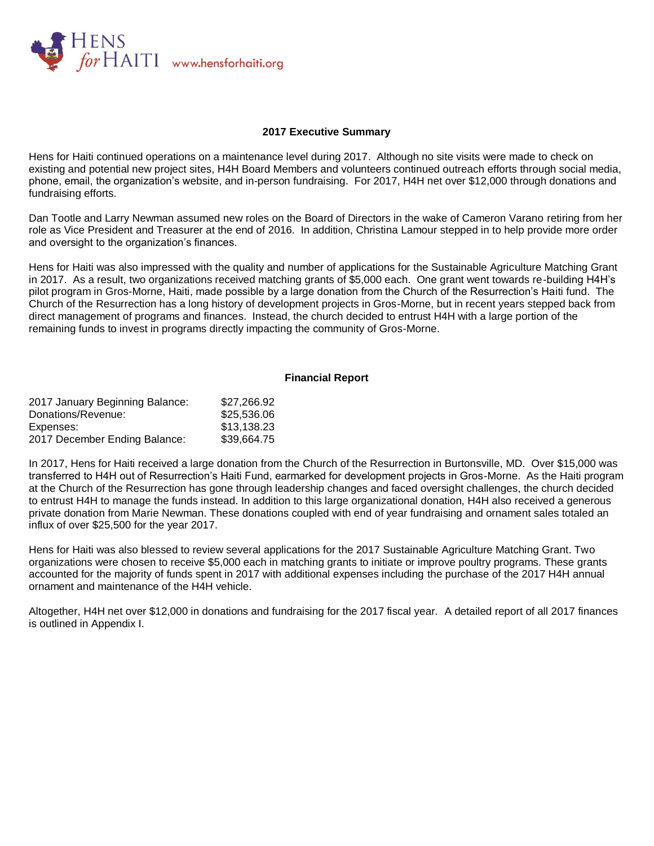

#### **2017 Executive Summary**

Hens for Haiti continued operations on a maintenance level during 2017. Although no site visits were made to check on existing and potential new project sites, H4H Board Members and volunteers continued outreach efforts through social media, phone, email, the organization's website, and in-person fundraising. For 2017, H4H net over \$12,000 through donations and fundraising efforts.

Dan Tootle and Larry Newman assumed new roles on the Board of Directors in the wake of Cameron Varano retiring from her role as Vice President and Treasurer at the end of 2016. In addition, Christina Lamour stepped in to help provide more order and oversight to the organization's finances.

Hens for Haiti was also impressed with the quality and number of applications for the Sustainable Agriculture Matching Grant in 2017. As a result, two organizations received matching grants of \$5,000 each. One grant went towards re-building H4H's pilot program in Gros-Morne, Haiti, made possible by a large donation from the Church of the Resurrection's Haiti fund. The Church of the Resurrection has a long history of development projects in Gros-Morne, but in recent years stepped back from direct management of programs and finances. Instead, the church decided to entrust H4H with a large portion of the remaining funds to invest in programs directly impacting the community of Gros-Morne.

#### **Financial Report**

| 2017 January Beginning Balance: | \$27,266.92 |
|---------------------------------|-------------|
| Donations/Revenue:              | \$25,536.06 |
| Expenses:                       | \$13,138.23 |
| 2017 December Ending Balance:   | \$39,664.75 |

In 2017, Hens for Haiti received a large donation from the Church of the Resurrection in Burtonsville, MD. Over \$15,000 was transferred to H4H out of Resurrection's Haiti Fund, earmarked for development projects in Gros-Morne. As the Haiti program at the Church of the Resurrection has gone through leadership changes and faced oversight challenges, the church decided to entrust H4H to manage the funds instead. In addition to this large organizational donation, H4H also received a generous private donation from Marie Newman. These donations coupled with end of year fundraising and ornament sales totaled an influx of over \$25,500 for the year 2017.

Hens for Haiti was also blessed to review several applications for the 2017 Sustainable Agriculture Matching Grant. Two organizations were chosen to receive \$5,000 each in matching grants to initiate or improve poultry programs. These grants accounted for the majority of funds spent in 2017 with additional expenses including the purchase of the 2017 H4H annual ornament and maintenance of the H4H vehicle.

Altogether, H4H net over \$12,000 in donations and fundraising for the 2017 fiscal year. A detailed report of all 2017 finances is outlined in Appendix I.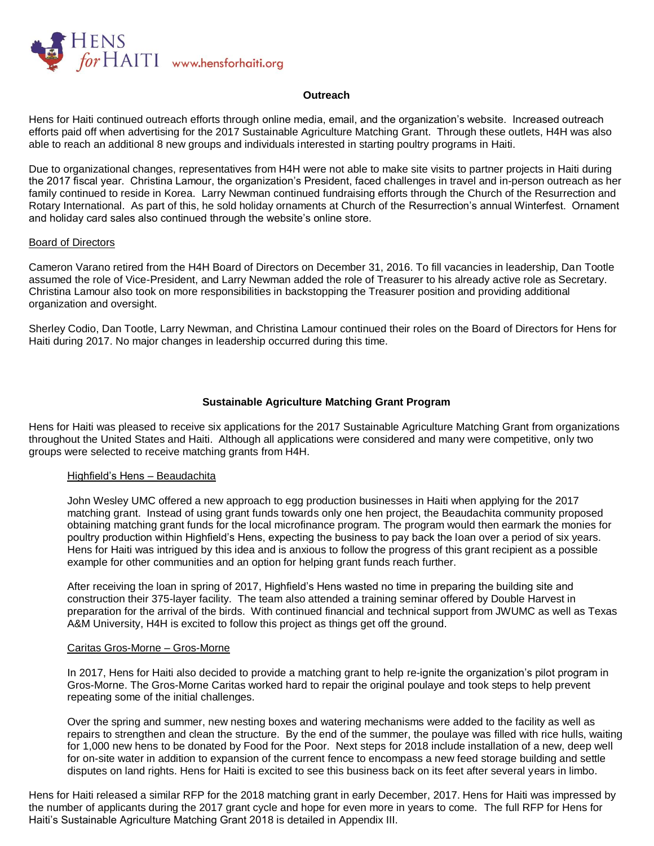

#### **Outreach**

Hens for Haiti continued outreach efforts through online media, email, and the organization's website. Increased outreach efforts paid off when advertising for the 2017 Sustainable Agriculture Matching Grant. Through these outlets, H4H was also able to reach an additional 8 new groups and individuals interested in starting poultry programs in Haiti.

Due to organizational changes, representatives from H4H were not able to make site visits to partner projects in Haiti during the 2017 fiscal year. Christina Lamour, the organization's President, faced challenges in travel and in-person outreach as her family continued to reside in Korea. Larry Newman continued fundraising efforts through the Church of the Resurrection and Rotary International. As part of this, he sold holiday ornaments at Church of the Resurrection's annual Winterfest. Ornament and holiday card sales also continued through the website's online store.

#### Board of Directors

Cameron Varano retired from the H4H Board of Directors on December 31, 2016. To fill vacancies in leadership, Dan Tootle assumed the role of Vice-President, and Larry Newman added the role of Treasurer to his already active role as Secretary. Christina Lamour also took on more responsibilities in backstopping the Treasurer position and providing additional organization and oversight.

Sherley Codio, Dan Tootle, Larry Newman, and Christina Lamour continued their roles on the Board of Directors for Hens for Haiti during 2017. No major changes in leadership occurred during this time.

#### **Sustainable Agriculture Matching Grant Program**

Hens for Haiti was pleased to receive six applications for the 2017 Sustainable Agriculture Matching Grant from organizations throughout the United States and Haiti. Although all applications were considered and many were competitive, only two groups were selected to receive matching grants from H4H.

#### Highfield's Hens – Beaudachita

John Wesley UMC offered a new approach to egg production businesses in Haiti when applying for the 2017 matching grant. Instead of using grant funds towards only one hen project, the Beaudachita community proposed obtaining matching grant funds for the local microfinance program. The program would then earmark the monies for poultry production within Highfield's Hens, expecting the business to pay back the loan over a period of six years. Hens for Haiti was intrigued by this idea and is anxious to follow the progress of this grant recipient as a possible example for other communities and an option for helping grant funds reach further.

After receiving the loan in spring of 2017, Highfield's Hens wasted no time in preparing the building site and construction their 375-layer facility. The team also attended a training seminar offered by Double Harvest in preparation for the arrival of the birds. With continued financial and technical support from JWUMC as well as Texas A&M University, H4H is excited to follow this project as things get off the ground.

#### Caritas Gros-Morne – Gros-Morne

In 2017, Hens for Haiti also decided to provide a matching grant to help re-ignite the organization's pilot program in Gros-Morne. The Gros-Morne Caritas worked hard to repair the original poulaye and took steps to help prevent repeating some of the initial challenges.

Over the spring and summer, new nesting boxes and watering mechanisms were added to the facility as well as repairs to strengthen and clean the structure. By the end of the summer, the poulaye was filled with rice hulls, waiting for 1,000 new hens to be donated by Food for the Poor. Next steps for 2018 include installation of a new, deep well for on-site water in addition to expansion of the current fence to encompass a new feed storage building and settle disputes on land rights. Hens for Haiti is excited to see this business back on its feet after several years in limbo.

Hens for Haiti released a similar RFP for the 2018 matching grant in early December, 2017. Hens for Haiti was impressed by the number of applicants during the 2017 grant cycle and hope for even more in years to come. The full RFP for Hens for Haiti's Sustainable Agriculture Matching Grant 2018 is detailed in Appendix III.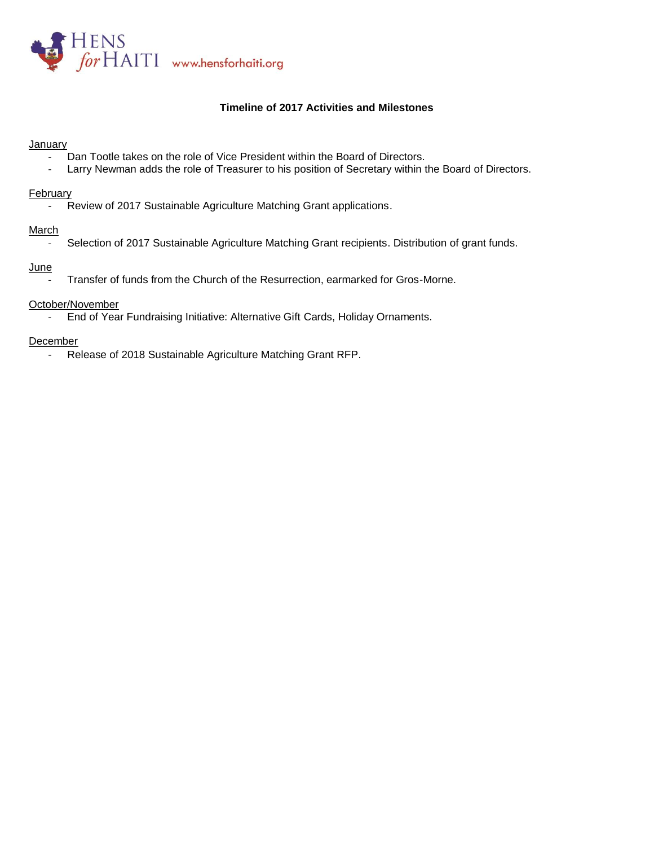

#### **Timeline of 2017 Activities and Milestones**

#### **January**

- Dan Tootle takes on the role of Vice President within the Board of Directors.
- Larry Newman adds the role of Treasurer to his position of Secretary within the Board of Directors.

#### **February**

- Review of 2017 Sustainable Agriculture Matching Grant applications.

#### March

- Selection of 2017 Sustainable Agriculture Matching Grant recipients. Distribution of grant funds.

#### **June**

Transfer of funds from the Church of the Resurrection, earmarked for Gros-Morne.

#### October/November

- End of Year Fundraising Initiative: Alternative Gift Cards, Holiday Ornaments.

#### December

- Release of 2018 Sustainable Agriculture Matching Grant RFP.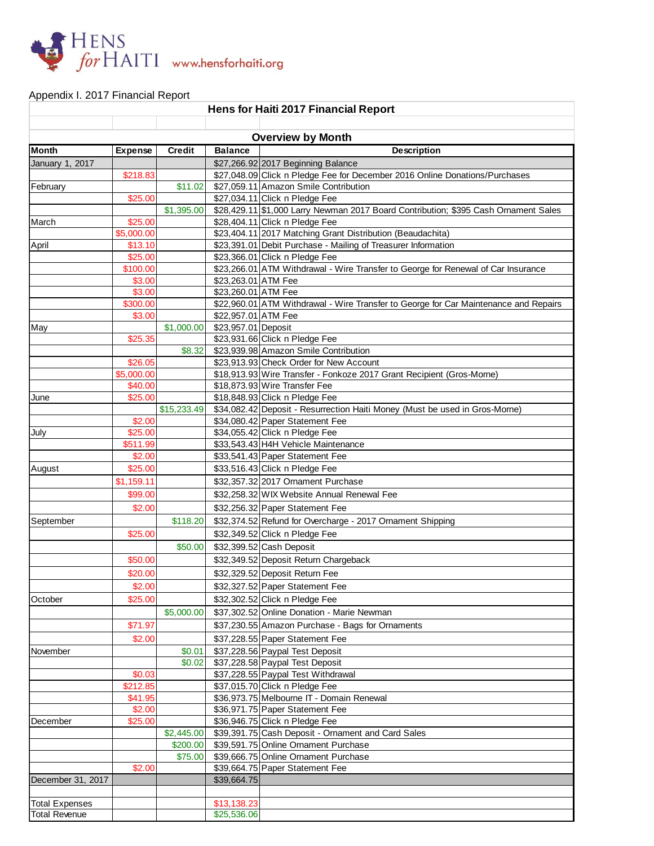

## Appendix I. 2017 Financial Report

| Hens for Haiti 2017 Financial Report          |                       |               |                            |                                                                                              |  |  |  |  |
|-----------------------------------------------|-----------------------|---------------|----------------------------|----------------------------------------------------------------------------------------------|--|--|--|--|
|                                               |                       |               |                            |                                                                                              |  |  |  |  |
|                                               |                       |               |                            | <b>Overview by Month</b>                                                                     |  |  |  |  |
| <b>Month</b>                                  | Expense               | <b>Credit</b> | <b>Balance</b>             | <b>Description</b>                                                                           |  |  |  |  |
| January 1, 2017                               |                       |               |                            | \$27,266.92 2017 Beginning Balance                                                           |  |  |  |  |
|                                               | \$218.83              |               |                            | \$27,048.09 Click n Pledge Fee for December 2016 Online Donations/Purchases                  |  |  |  |  |
| February                                      |                       | \$11.02       |                            | \$27,059.11 Amazon Smile Contribution                                                        |  |  |  |  |
|                                               | \$25.00               |               |                            | \$27,034.11 Click n Pledge Fee                                                               |  |  |  |  |
|                                               |                       | \$1,395.00    |                            | \$28,429.11 \$1,000 Larry Newman 2017 Board Contribution; \$395 Cash Ornament Sales          |  |  |  |  |
| March                                         | \$25.00<br>\$5,000.00 |               |                            | \$28,404.11 Click n Pledge Fee<br>\$23,404.11 2017 Matching Grant Distribution (Beaudachita) |  |  |  |  |
| April                                         | \$13.10               |               |                            | \$23,391.01 Debit Purchase - Mailing of Treasurer Information                                |  |  |  |  |
|                                               | \$25.00               |               |                            | \$23,366.01 Click n Pledge Fee                                                               |  |  |  |  |
|                                               | \$100.00              |               |                            | \$23,266.01 ATM Withdrawal - Wire Transfer to George for Renewal of Car Insurance            |  |  |  |  |
|                                               | \$3.00                |               | \$23,263.01 ATM Fee        |                                                                                              |  |  |  |  |
|                                               | \$3.00                |               | \$23,260.01 ATM Fee        |                                                                                              |  |  |  |  |
|                                               | \$300.00              |               |                            | \$22,960.01 ATM Withdrawal - Wire Transfer to George for Car Maintenance and Repairs         |  |  |  |  |
|                                               | \$3.00                |               | \$22,957.01 ATM Fee        |                                                                                              |  |  |  |  |
| May                                           |                       | \$1,000.00    | \$23,957.01 Deposit        |                                                                                              |  |  |  |  |
|                                               | \$25.35               |               |                            | \$23,931.66 Click n Pledge Fee                                                               |  |  |  |  |
|                                               |                       | \$8.32        |                            | \$23,939.98 Amazon Smile Contribution                                                        |  |  |  |  |
|                                               | \$26.05               |               |                            | \$23,913.93 Check Order for New Account                                                      |  |  |  |  |
|                                               | \$5,000.00            |               |                            | \$18,913.93 Wire Transfer - Fonkoze 2017 Grant Recipient (Gros-Morne)                        |  |  |  |  |
|                                               | \$40.00<br>\$25.00    |               |                            | \$18,873.93 Wire Transfer Fee<br>\$18,848.93 Click n Pledge Fee                              |  |  |  |  |
| June                                          |                       | \$15,233.49   |                            | \$34,082.42 Deposit - Resurrection Haiti Money (Must be used in Gros-Morne)                  |  |  |  |  |
|                                               | \$2.00                |               |                            | \$34,080.42 Paper Statement Fee                                                              |  |  |  |  |
| July                                          | \$25.00               |               |                            | \$34,055.42 Click n Pledge Fee                                                               |  |  |  |  |
|                                               | \$511.99              |               |                            | \$33,543.43 H4H Vehicle Maintenance                                                          |  |  |  |  |
|                                               | \$2.00                |               |                            | \$33,541.43 Paper Statement Fee                                                              |  |  |  |  |
| August                                        | \$25.00               |               |                            | \$33,516.43 Click n Pledge Fee                                                               |  |  |  |  |
|                                               | \$1,159.11            |               |                            | \$32,357.32 2017 Ornament Purchase                                                           |  |  |  |  |
|                                               | \$99.00               |               |                            | \$32,258.32 WIX Website Annual Renewal Fee                                                   |  |  |  |  |
|                                               | \$2.00                |               |                            | \$32,256.32 Paper Statement Fee                                                              |  |  |  |  |
| September                                     |                       | \$118.20      |                            | \$32,374.52 Refund for Overcharge - 2017 Ornament Shipping                                   |  |  |  |  |
|                                               | \$25.00               |               |                            | \$32,349.52 Click n Pledge Fee                                                               |  |  |  |  |
|                                               |                       | \$50.00       |                            | \$32,399.52 Cash Deposit                                                                     |  |  |  |  |
|                                               | \$50.00               |               |                            | \$32,349.52 Deposit Return Chargeback                                                        |  |  |  |  |
|                                               | \$20.00               |               |                            | \$32,329.52 Deposit Return Fee                                                               |  |  |  |  |
|                                               | \$2.00                |               |                            | \$32,327.52 Paper Statement Fee                                                              |  |  |  |  |
| October                                       | \$25.00               |               |                            | \$32,302.52 Click n Pledge Fee                                                               |  |  |  |  |
|                                               |                       | \$5,000.00    |                            | \$37,302.52 Online Donation - Marie Newman                                                   |  |  |  |  |
|                                               | \$71.97               |               |                            | \$37,230.55 Amazon Purchase - Bags for Ornaments                                             |  |  |  |  |
|                                               | \$2.00                |               |                            | \$37,228.55 Paper Statement Fee                                                              |  |  |  |  |
| November                                      |                       | \$0.01        |                            | \$37,228.56 Paypal Test Deposit                                                              |  |  |  |  |
|                                               |                       | \$0.02        |                            | \$37,228.58 Paypal Test Deposit                                                              |  |  |  |  |
|                                               | \$0.03                |               |                            | \$37,228.55 Paypal Test Withdrawal                                                           |  |  |  |  |
|                                               | \$212.85              |               |                            | \$37,015.70 Click n Pledge Fee                                                               |  |  |  |  |
|                                               | \$41.95               |               |                            | \$36,973.75 Melbourne IT - Domain Renewal                                                    |  |  |  |  |
|                                               | \$2.00                |               |                            | \$36,971.75 Paper Statement Fee                                                              |  |  |  |  |
| December                                      | \$25.00               |               |                            | \$36,946.75 Click n Pledge Fee                                                               |  |  |  |  |
|                                               |                       | \$2,445.00    |                            | \$39,391.75 Cash Deposit - Ornament and Card Sales                                           |  |  |  |  |
|                                               |                       | \$200.00      |                            | \$39,591.75 Online Ornament Purchase                                                         |  |  |  |  |
|                                               |                       | \$75.00       |                            | \$39,666.75 Online Ornament Purchase                                                         |  |  |  |  |
|                                               | \$2.00                |               |                            | \$39,664.75 Paper Statement Fee                                                              |  |  |  |  |
| December 31, 2017                             |                       |               | \$39,664.75                |                                                                                              |  |  |  |  |
|                                               |                       |               |                            |                                                                                              |  |  |  |  |
| <b>Total Expenses</b><br><b>Total Revenue</b> |                       |               | \$13,138.23<br>\$25,536.06 |                                                                                              |  |  |  |  |
|                                               |                       |               |                            |                                                                                              |  |  |  |  |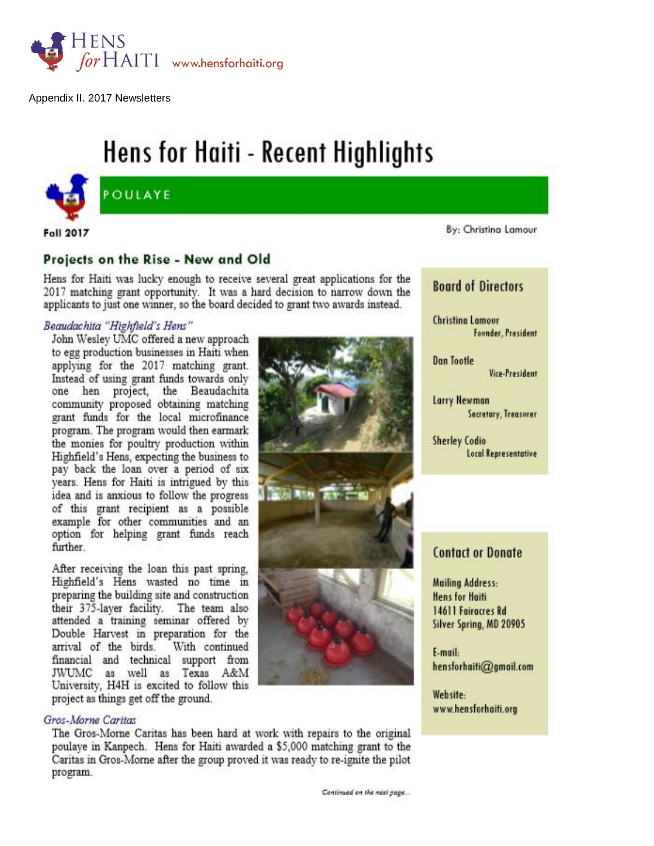

Appendix II. 2017 Newsletters

# Hens for Haiti - Recent Highlights



POULAYE

**Fall 2017** 

# Projects on the Rise - New and Old

Hens for Haiti was lucky enough to receive several great applications for the 2017 matching grant opportunity. It was a hard decision to narrow down the applicants to just one winner, so the board decided to grant two awards instead.

#### Beaudachita "Highfield's Hens"

John Wesley UMC offered a new approach to egg production businesses in Haiti when applying for the 2017 matching grant. Instead of using grant funds towards only one hen project, the Beaudachita community proposed obtaining matching grant funds for the local microfinance program. The program would then earmark the monies for poultry production within Highfield's Hens, expecting the business to pay back the loan over a period of six vears. Hens for Haiti is intrigued by this idea and is anxious to follow the progress of this grant recipient as a possible example for other communities and an option for helping grant funds reach further.

After receiving the loan this past spring, Highfield's Hens wasted no time in preparing the building site and construction their 375-layer facility. The team also attended a training seminar offered by Double Harvest in preparation for the arrival of the birds. With continued financial and technical support from JWUMC as well as Texas A&M University, H4H is excited to follow this project as things get off the ground.

#### Gros-Morne Caritas

The Gros-Morne Caritas has been hard at work with repairs to the original poulaye in Kanpech. Hens for Haiti awarded a \$5,000 matching grant to the Caritas in Gros-Morne after the group proved it was ready to re-ignite the pilot program.

By: Christina Lamour

# **Board of Directors**

**Christing Lamour** Founder, President

**Dan Tootle** Vice-President

Larry Newman Secretary, Treasurer

**Sherley Codio Local Representative** 

## **Contact or Donate**

**Mailing Address: Hens for Haiti** 14611 Fairacres Rd Silver Spring, MD 20905

E-mail: hensforhaiti@gmail.com

Website: www.hensforhaiti.org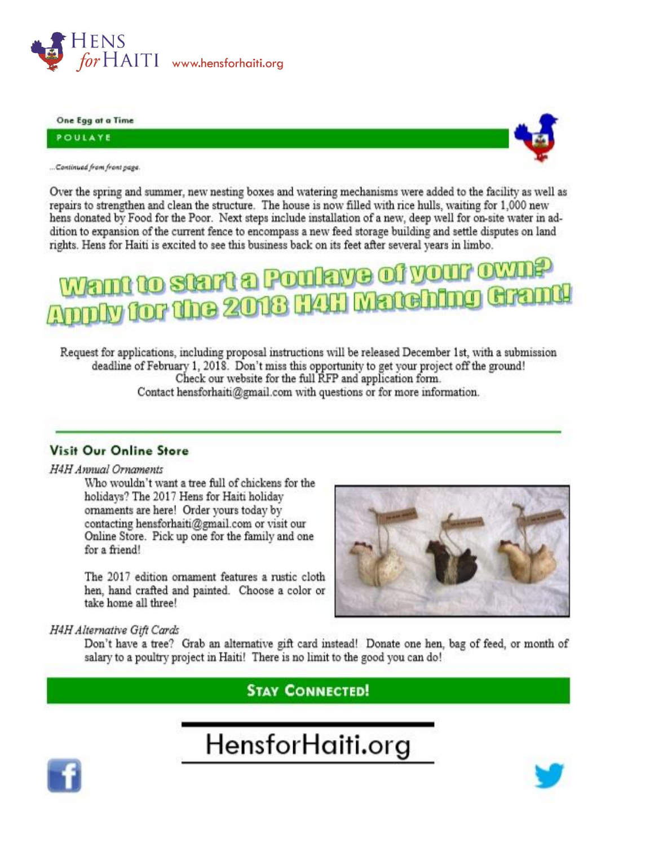

One Egg at a Time

POULAYE



... Continued from front page.

Over the spring and summer, new nesting boxes and watering mechanisms were added to the facility as well as repairs to strengthen and clean the structure. The house is now filled with rice hulls, waiting for 1,000 new hens donated by Food for the Poor. Next steps include installation of a new, deep well for on-site water in addition to expansion of the current fence to encompass a new feed storage building and settle disputes on land rights. Hens for Haiti is excited to see this business back on its feet after several years in limbo.

# nn to start a Poulaye of your own ply for the 2018 H4H Matching Gra

Request for applications, including proposal instructions will be released December 1st, with a submission deadline of February 1, 2018. Don't miss this opportunity to get your project off the ground! Check our website for the full RFP and application form. Contact hensforhaiti@gmail.com with questions or for more information.

# **Visit Our Online Store**

#### H4H Annual Ornaments

Who wouldn't want a tree full of chickens for the holidays? The 2017 Hens for Haiti holiday ornaments are here! Order yours today by contacting hensforhaiti@gmail.com or visit our Online Store. Pick up one for the family and one for a friend!

The 2017 edition ornament features a rustic cloth hen, hand crafted and painted. Choose a color or take home all three!



### H4H Alternative Gift Cards

Don't have a tree? Grab an alternative gift card instead! Donate one hen, bag of feed, or month of salary to a poultry project in Haiti! There is no limit to the good you can do!

**STAY CONNECTED!** 

# HensforHaiti.org



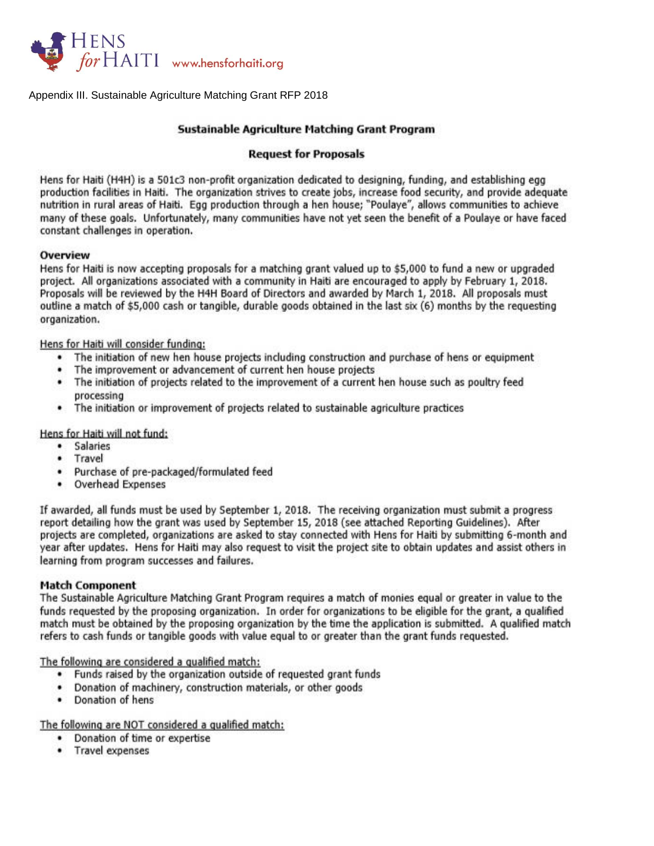

Appendix III. Sustainable Agriculture Matching Grant RFP 2018

#### Sustainable Agriculture Matching Grant Program

#### **Request for Proposals**

Hens for Haiti (H4H) is a 501c3 non-profit organization dedicated to designing, funding, and establishing egg production facilities in Haiti. The organization strives to create jobs, increase food security, and provide adequate nutrition in rural areas of Haiti. Egg production through a hen house; "Poulaye", allows communities to achieve many of these goals. Unfortunately, many communities have not yet seen the benefit of a Poulaye or have faced constant challenges in operation.

#### Overview

Hens for Haiti is now accepting proposals for a matching grant valued up to \$5,000 to fund a new or upgraded project. All organizations associated with a community in Haiti are encouraged to apply by February 1, 2018. Proposals will be reviewed by the H4H Board of Directors and awarded by March 1, 2018. All proposals must outline a match of \$5,000 cash or tangible, durable goods obtained in the last six (6) months by the requesting organization.

Hens for Haiti will consider funding:

- The initiation of new hen house projects including construction and purchase of hens or equipment  $\bullet$
- The improvement or advancement of current hen house projects
- . The initiation of projects related to the improvement of a current hen house such as poultry feed processing
- . The initiation or improvement of projects related to sustainable agriculture practices

Hens for Haiti will not fund:

- **Salaries**  $\bullet$
- Travel  $\bullet$
- · Purchase of pre-packaged/formulated feed
- Overhead Expenses

If awarded, all funds must be used by September 1, 2018. The receiving organization must submit a progress report detailing how the grant was used by September 15, 2018 (see attached Reporting Guidelines). After projects are completed, organizations are asked to stay connected with Hens for Haiti by submitting 6-month and year after updates. Hens for Haiti may also request to visit the project site to obtain updates and assist others in learning from program successes and failures.

#### **Match Component**

The Sustainable Agriculture Matching Grant Program requires a match of monies equal or greater in value to the funds requested by the proposing organization. In order for organizations to be eligible for the grant, a qualified match must be obtained by the proposing organization by the time the application is submitted. A qualified match refers to cash funds or tangible goods with value equal to or greater than the grant funds requested.

The following are considered a qualified match:

- . Funds raised by the organization outside of requested grant funds
- . Donation of machinery, construction materials, or other goods
- Donation of hens .

The following are NOT considered a qualified match:

- Donation of time or expertise
- Travel expenses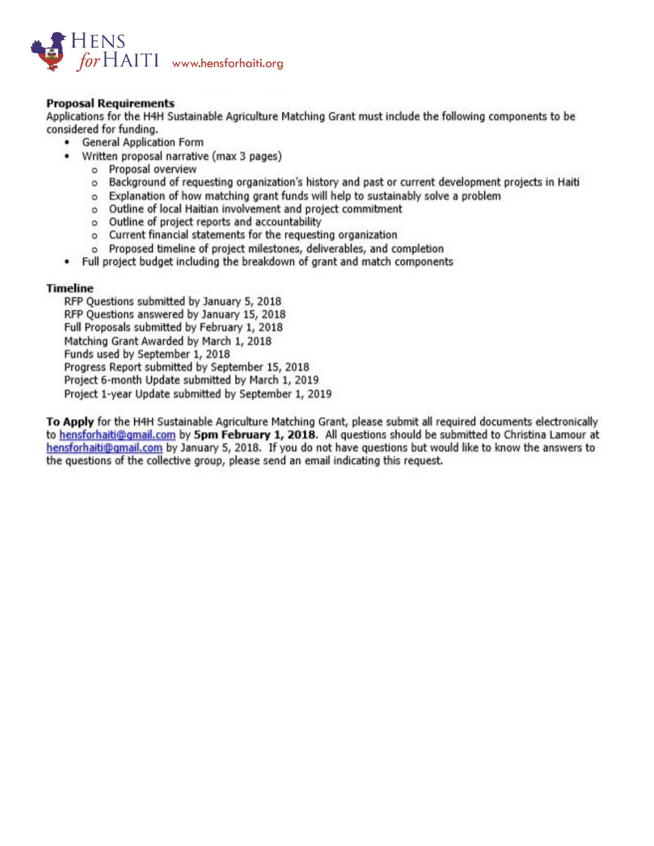![](_page_9_Picture_0.jpeg)

### **Proposal Requirements**

Applications for the H4H Sustainable Agriculture Matching Grant must include the following components to be considered for funding.

- General Application Form
- Written proposal narrative (max 3 pages)
	- o Proposal overview
	- o Background of requesting organization's history and past or current development projects in Haiti
	- o Explanation of how matching grant funds will help to sustainably solve a problem
	- o Outline of local Haitian involvement and project commitment
	- o Outline of project reports and accountability
	- o Current financial statements for the requesting organization
	- o Proposed timeline of project milestones, deliverables, and completion
- . Full project budget including the breakdown of grant and match components

#### **Timeline**

RFP Ouestions submitted by January 5, 2018 RFP Questions answered by January 15, 2018 Full Proposals submitted by February 1, 2018 Matching Grant Awarded by March 1, 2018 Funds used by September 1, 2018 Progress Report submitted by September 15, 2018 Project 6-month Update submitted by March 1, 2019 Project 1-year Update submitted by September 1, 2019

To Apply for the H4H Sustainable Agriculture Matching Grant, please submit all required documents electronically to hensforhaiti@gmail.com by 5pm February 1, 2018. All questions should be submitted to Christina Lamour at hensforhaiti@gmail.com by January 5, 2018. If you do not have questions but would like to know the answers to the questions of the collective group, please send an email indicating this request.